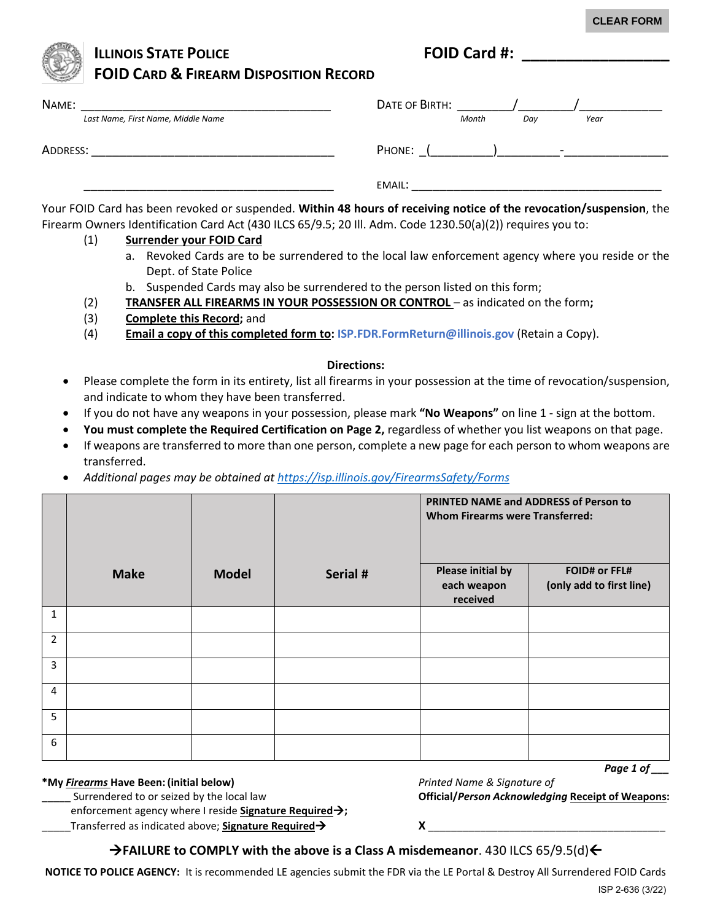**CLEAR FORM**

## **ILLINOIS STATE POLICE FOID Card #: FOID CARD & FIREARM DISPOSITION RECORD**

| NAME:                              | DATE OF BIRTH:                     |
|------------------------------------|------------------------------------|
| Last Name, First Name, Middle Name | Month<br>Year<br>Day               |
| ADDRESS:                           | PHONE:<br>$\overline{\phantom{0}}$ |
|                                    | EMAIL:                             |

Your FOID Card has been revoked or suspended. **Within 48 hours of receiving notice of the revocation/suspension**, the Firearm Owners Identification Card Act (430 ILCS 65/9.5; 20 Ill. Adm. Code 1230.50(a)(2)) requires you to:

### (1) **Surrender your FOID Card**

- a. Revoked Cards are to be surrendered to the local law enforcement agency where you reside or the Dept. of State Police
- b. Suspended Cards may also be surrendered to the person listed on this form;
- (2) **TRANSFER ALL FIREARMS IN YOUR POSSESSION OR CONTROL**  as indicated on the form**;**
- (3) **Complete this Record;** and
- (4) **Email a copy of this completed form to: ISP.FDR.FormReturn@illinois.gov** (Retain a Copy).

### **Directions:**

- Please complete the form in its entirety, list all firearms in your possession at the time of revocation/suspension, and indicate to whom they have been transferred.
- If you do not have any weapons in your possession, please mark **"No Weapons"** on line 1 sign at the bottom.
- **You must complete the Required Certification on Page 2,** regardless of whether you list weapons on that page.
- If weapons are transferred to more than one person, complete a new page for each person to whom weapons are transferred.
- *Additional pages may be obtained at https://isp.illinois.gov/FirearmsSafety/Forms*

|                |             |              |          | <b>PRINTED NAME and ADDRESS of Person to</b><br><b>Whom Firearms were Transferred:</b> |                                                  |
|----------------|-------------|--------------|----------|----------------------------------------------------------------------------------------|--------------------------------------------------|
|                | <b>Make</b> | <b>Model</b> | Serial # | Please initial by<br>each weapon<br>received                                           | <b>FOID# or FFL#</b><br>(only add to first line) |
| $\mathbf{1}$   |             |              |          |                                                                                        |                                                  |
| 2              |             |              |          |                                                                                        |                                                  |
| $\overline{3}$ |             |              |          |                                                                                        |                                                  |
| $\overline{4}$ |             |              |          |                                                                                        |                                                  |
| 5              |             |              |          |                                                                                        |                                                  |
| 6              |             |              |          |                                                                                        |                                                  |

### **\*My** *Firearms* **Have Been: (initial below)** *Printed Name & Signature of*

enforcement agency where I reside **Signature Required;**

\_\_Transferred as indicated above; **Signature Required**  $\rightarrow$  $X$  **\_\_\_\_\_\_\_\_\_\_\_\_\_\_\_\_\_**\_\_\_\_

\_\_\_\_\_ Surrendered to or seized by the local law **Official/***Person Acknowledging* **Receipt of Weapons:** 

# **FAILURE to COMPLY with the above is a Class A misdemeanor**. 430 ILCS 65/9.5(d)

**NOTICE TO POLICE AGENCY:** It is recommended LE agencies submit the FDR via the LE Portal & Destroy All Surrendered FOID Cards

*Page 1 of \_\_\_*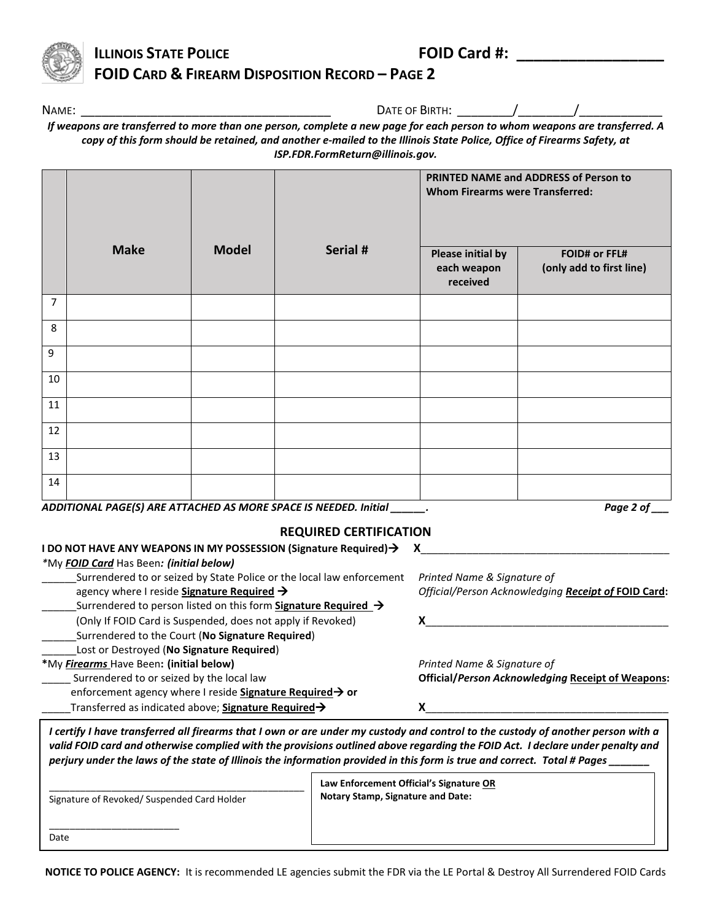

## **ILLINOIS STATE POLICE THE EXAMPLE POLICE AND STATE POLICE FOID CARD & FIREARM DISPOSITION RECORD – PAGE 2**

NAME: \_\_\_\_\_\_\_\_\_\_\_\_\_\_\_\_\_\_\_\_\_\_\_\_\_\_\_\_\_\_\_\_\_\_\_\_ DATE OF BIRTH: \_\_\_\_\_\_\_\_/\_\_\_\_\_\_\_\_/\_\_\_\_\_\_\_\_\_\_\_\_

*If weapons are transferred to more than one person, complete a new page for each person to whom weapons are transferred. A copy of this form should be retained, and another e-mailed to the Illinois State Police, Office of Firearms Safety, at ISP.FDR.FormReturn@illinois.gov.* 

|             |              | PRINTED NAME and ADDRESS of Person to<br><b>Whom Firearms were Transferred:</b> |                                           |
|-------------|--------------|---------------------------------------------------------------------------------|-------------------------------------------|
|             |              | <b>Please initial by</b><br>each weapon<br>received                             | FOID# or FFL#<br>(only add to first line) |
|             |              |                                                                                 |                                           |
|             |              |                                                                                 |                                           |
|             |              |                                                                                 |                                           |
|             |              |                                                                                 |                                           |
|             |              |                                                                                 |                                           |
|             |              |                                                                                 |                                           |
|             |              |                                                                                 |                                           |
|             |              |                                                                                 |                                           |
| <b>Make</b> | <b>Model</b> | Serial #<br>$ADDITOII1I DACFCI1 DFC1TT1CUTD 1C 110DF CDACFIO1C1TDTDF0 1.111.1$  |                                           |

*ADDITIONAL PAGE(S) ARE ATTACHED AS MORE SPACE IS NEEDED. Initial \_\_\_\_\_\_. Page 2 of \_\_\_*

### **REQUIRED CERTIFICATION**

| I DO NOT HAVE ANY WEAPONS IN MY POSSESSION (Signature Required)→                                                              |                                                          |
|-------------------------------------------------------------------------------------------------------------------------------|----------------------------------------------------------|
| *My FOID Card Has Been: (initial below)                                                                                       |                                                          |
| Surrendered to or seized by State Police or the local law enforcement                                                         | Printed Name & Signature of                              |
| agency where I reside Signature Required →                                                                                    | Official/Person Acknowledging Receipt of FOID Card:      |
| Surrendered to person listed on this form Signature Required $\rightarrow$                                                    |                                                          |
| (Only If FOID Card is Suspended, does not apply if Revoked)                                                                   |                                                          |
| Surrendered to the Court (No Signature Required)                                                                              |                                                          |
| Lost or Destroyed (No Signature Required)                                                                                     |                                                          |
| *My Firearms Have Been: (initial below)                                                                                       | Printed Name & Signature of                              |
| Surrendered to or seized by the local law                                                                                     | <b>Official/Person Acknowledging Receipt of Weapons:</b> |
| enforcement agency where I reside Signature Required → or                                                                     |                                                          |
| Transferred as indicated above; Signature Required $\rightarrow$                                                              |                                                          |
| certify I have transferred all firearms that Lown or are under my custody and control to the custody of another nerson with a |                                                          |

*I certify I have transferred all firearms that I own or are under my custody and control to the custody of another person with a valid FOID card and otherwise complied with the provisions outlined above regarding the FOID Act. I declare under penalty and perjury under the laws of the state of Illinois the information provided in this form is true and correct. Total # Pages \_\_\_\_\_\_\_*

\_\_\_\_\_\_\_\_\_\_\_\_\_\_\_\_\_\_\_\_\_\_\_\_\_\_\_\_\_\_\_\_\_\_\_\_\_\_\_\_\_\_\_\_\_\_\_\_\_ Signature of Revoked/ Suspended Card Holder

\_\_\_\_\_\_\_\_\_\_\_\_\_\_\_\_\_\_\_\_\_\_\_\_\_

**Law Enforcement Official's Signature OR Notary Stamp, Signature and Date:**

Date